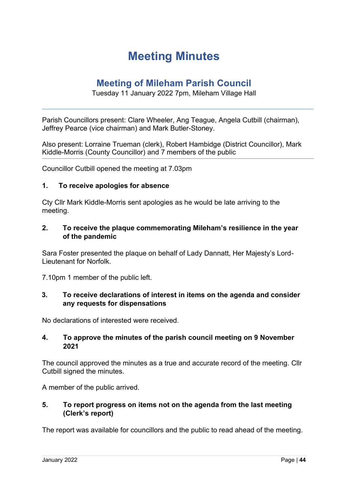## **Meeting Minutes**

### **Meeting of Mileham Parish Council**

#### Tuesday 11 January 2022 7pm, Mileham Village Hall

Parish Councillors present: Clare Wheeler, Ang Teague, Angela Cutbill (chairman), Jeffrey Pearce (vice chairman) and Mark Butler-Stoney.

Also present: Lorraine Trueman (clerk), Robert Hambidge (District Councillor), Mark Kiddle-Morris (County Councillor) and 7 members of the public

Councillor Cutbill opened the meeting at 7.03pm

#### **1. To receive apologies for absence**

Cty Cllr Mark Kiddle-Morris sent apologies as he would be late arriving to the meeting.

#### **2. To receive the plaque commemorating Mileham's resilience in the year of the pandemic**

Sara Foster presented the plaque on behalf of Lady Dannatt, Her Majesty's Lord-Lieutenant for Norfolk.

7.10pm 1 member of the public left.

#### **3. To receive declarations of interest in items on the agenda and consider any requests for dispensations**

No declarations of interested were received.

#### **4. To approve the minutes of the parish council meeting on 9 November 2021**

The council approved the minutes as a true and accurate record of the meeting. Cllr Cutbill signed the minutes.

A member of the public arrived.

#### **5. To report progress on items not on the agenda from the last meeting (Clerk's report)**

The report was available for councillors and the public to read ahead of the meeting.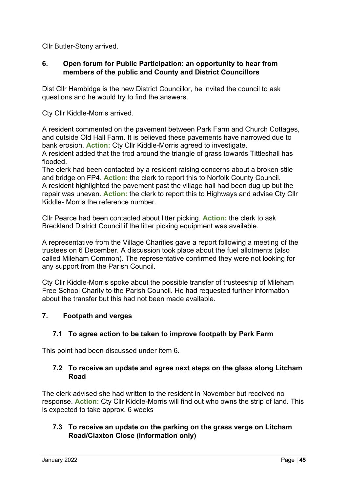Cllr Butler-Stony arrived.

#### **6. Open forum for Public Participation: an opportunity to hear from members of the public and County and District Councillors**

Dist Cllr Hambidge is the new District Councillor, he invited the council to ask questions and he would try to find the answers.

Cty Cllr Kiddle-Morris arrived.

A resident commented on the pavement between Park Farm and Church Cottages, and outside Old Hall Farm. It is believed these pavements have narrowed due to bank erosion. **Action:** Cty Cllr Kiddle-Morris agreed to investigate.

A resident added that the trod around the triangle of grass towards Tittleshall has flooded.

The clerk had been contacted by a resident raising concerns about a broken stile and bridge on FP4. **Action:** the clerk to report this to Norfolk County Council. A resident highlighted the pavement past the village hall had been dug up but the repair was uneven. **Action:** the clerk to report this to Highways and advise Cty Cllr Kiddle- Morris the reference number.

Cllr Pearce had been contacted about litter picking. **Action:** the clerk to ask Breckland District Council if the litter picking equipment was available.

A representative from the Village Charities gave a report following a meeting of the trustees on 6 December. A discussion took place about the fuel allotments (also called Mileham Common). The representative confirmed they were not looking for any support from the Parish Council.

Cty Cllr Kiddle-Morris spoke about the possible transfer of trusteeship of Mileham Free School Charity to the Parish Council. He had requested further information about the transfer but this had not been made available.

#### **7. Footpath and verges**

#### **7.1 To agree action to be taken to improve footpath by Park Farm**

This point had been discussed under item 6.

#### **7.2 To receive an update and agree next steps on the glass along Litcham Road**

The clerk advised she had written to the resident in November but received no response. **Action:** Cty Cllr Kiddle-Morris will find out who owns the strip of land. This is expected to take approx. 6 weeks

#### **7.3 To receive an update on the parking on the grass verge on Litcham Road/Claxton Close (information only)**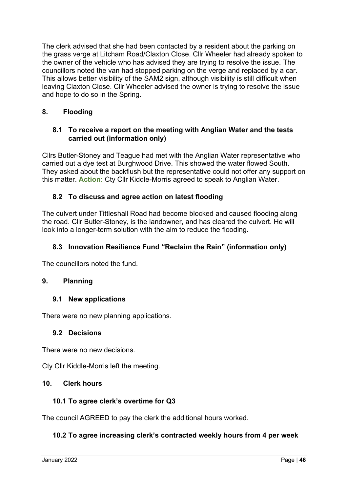The clerk advised that she had been contacted by a resident about the parking on the grass verge at Litcham Road/Claxton Close. Cllr Wheeler had already spoken to the owner of the vehicle who has advised they are trying to resolve the issue. The councillors noted the van had stopped parking on the verge and replaced by a car. This allows better visibility of the SAM2 sign, although visibility is still difficult when leaving Claxton Close. Cllr Wheeler advised the owner is trying to resolve the issue and hope to do so in the Spring.

#### **8. Flooding**

#### **8.1 To receive a report on the meeting with Anglian Water and the tests carried out (information only)**

Cllrs Butler-Stoney and Teague had met with the Anglian Water representative who carried out a dye test at Burghwood Drive. This showed the water flowed South. They asked about the backflush but the representative could not offer any support on this matter. **Action:** Cty Cllr Kiddle-Morris agreed to speak to Anglian Water.

#### **8.2 To discuss and agree action on latest flooding**

The culvert under Tittleshall Road had become blocked and caused flooding along the road. Cllr Butler-Stoney, is the landowner, and has cleared the culvert. He will look into a longer-term solution with the aim to reduce the flooding.

#### **8.3 Innovation Resilience Fund "Reclaim the Rain" (information only)**

The councillors noted the fund.

#### **9. Planning**

#### **9.1 New applications**

There were no new planning applications.

#### **9.2 Decisions**

There were no new decisions.

Cty Cllr Kiddle-Morris left the meeting.

#### **10. Clerk hours**

#### **10.1 To agree clerk's overtime for Q3**

The council AGREED to pay the clerk the additional hours worked.

#### **10.2 To agree increasing clerk's contracted weekly hours from 4 per week**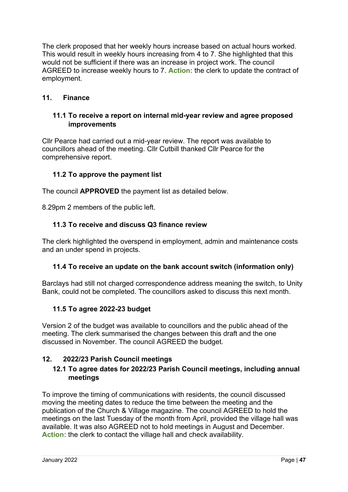The clerk proposed that her weekly hours increase based on actual hours worked. This would result in weekly hours increasing from 4 to 7. She highlighted that this would not be sufficient if there was an increase in project work. The council AGREED to increase weekly hours to 7. **Action:** the clerk to update the contract of employment.

#### **11. Finance**

#### **11.1 To receive a report on internal mid-year review and agree proposed improvements**

Cllr Pearce had carried out a mid-year review. The report was available to councillors ahead of the meeting. Cllr Cutbill thanked Cllr Pearce for the comprehensive report.

#### **11.2 To approve the payment list**

The council **APPROVED** the payment list as detailed below.

8.29pm 2 members of the public left.

#### **11.3 To receive and discuss Q3 finance review**

The clerk highlighted the overspend in employment, admin and maintenance costs and an under spend in projects.

#### **11.4 To receive an update on the bank account switch (information only)**

Barclays had still not charged correspondence address meaning the switch, to Unity Bank, could not be completed. The councillors asked to discuss this next month.

#### **11.5 To agree 2022-23 budget**

Version 2 of the budget was available to councillors and the public ahead of the meeting. The clerk summarised the changes between this draft and the one discussed in November. The council AGREED the budget.

#### **12. 2022/23 Parish Council meetings**

#### **12.1 To agree dates for 2022/23 Parish Council meetings, including annual meetings**

To improve the timing of communications with residents, the council discussed moving the meeting dates to reduce the time between the meeting and the publication of the Church & Village magazine. The council AGREED to hold the meetings on the last Tuesday of the month from April, provided the village hall was available. It was also AGREED not to hold meetings in August and December. **Action:** the clerk to contact the village hall and check availability.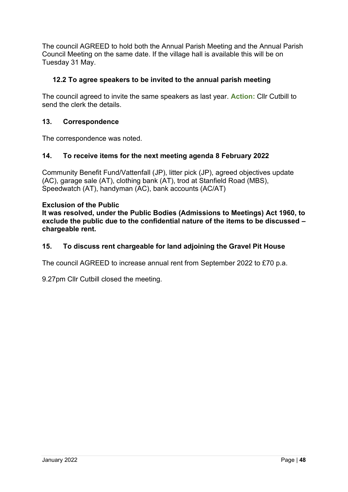The council AGREED to hold both the Annual Parish Meeting and the Annual Parish Council Meeting on the same date. If the village hall is available this will be on Tuesday 31 May.

#### **12.2 To agree speakers to be invited to the annual parish meeting**

The council agreed to invite the same speakers as last year. **Action:** Cllr Cutbill to send the clerk the details.

#### **13. Correspondence**

The correspondence was noted.

#### **14. To receive items for the next meeting agenda 8 February 2022**

Community Benefit Fund/Vattenfall (JP), litter pick (JP), agreed objectives update (AC), garage sale (AT), clothing bank (AT), trod at Stanfield Road (MBS), Speedwatch (AT), handyman (AC), bank accounts (AC/AT)

#### **Exclusion of the Public**

**It was resolved, under the Public Bodies (Admissions to Meetings) Act 1960, to exclude the public due to the confidential nature of the items to be discussed – chargeable rent.**

#### **15. To discuss rent chargeable for land adjoining the Gravel Pit House**

The council AGREED to increase annual rent from September 2022 to £70 p.a.

9.27pm Cllr Cutbill closed the meeting.